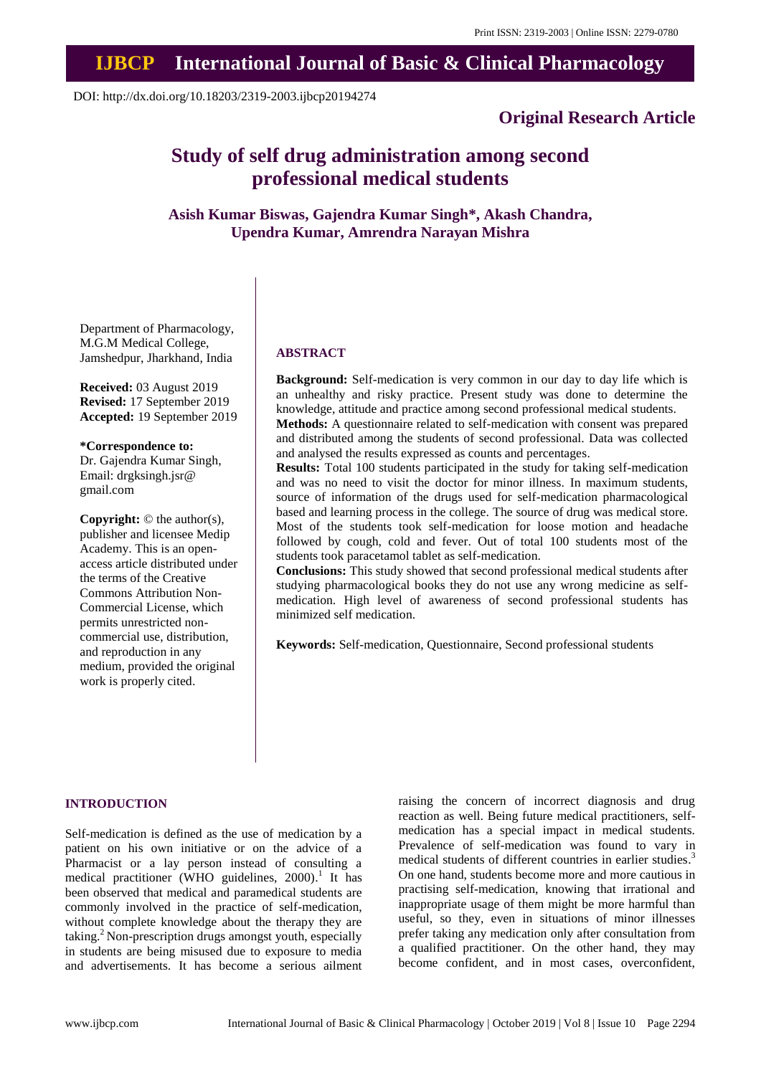# **IJBCP International Journal of Basic & Clinical Pharmacology**

DOI: http://dx.doi.org/10.18203/2319-2003.ijbcp20194274

# **Original Research Article**

# **Study of self drug administration among second professional medical students**

**Asish Kumar Biswas, Gajendra Kumar Singh\*, Akash Chandra, Upendra Kumar, Amrendra Narayan Mishra**

Department of Pharmacology, M.G.M Medical College, Jamshedpur, Jharkhand, India

**Received:** 03 August 2019 **Revised:** 17 September 2019 **Accepted:** 19 September 2019

#### **\*Correspondence to:**

Dr. Gajendra Kumar Singh, Email: drgksingh.jsr@ gmail.com

**Copyright:** © the author(s), publisher and licensee Medip Academy. This is an openaccess article distributed under the terms of the Creative Commons Attribution Non-Commercial License, which permits unrestricted noncommercial use, distribution, and reproduction in any medium, provided the original work is properly cited.

### **ABSTRACT**

**Background:** Self-medication is very common in our day to day life which is an unhealthy and risky practice. Present study was done to determine the knowledge, attitude and practice among second professional medical students.

**Methods:** A questionnaire related to self-medication with consent was prepared and distributed among the students of second professional. Data was collected and analysed the results expressed as counts and percentages.

**Results:** Total 100 students participated in the study for taking self-medication and was no need to visit the doctor for minor illness. In maximum students, source of information of the drugs used for self-medication pharmacological based and learning process in the college. The source of drug was medical store. Most of the students took self-medication for loose motion and headache followed by cough, cold and fever. Out of total 100 students most of the students took paracetamol tablet as self-medication.

**Conclusions:** This study showed that second professional medical students after studying pharmacological books they do not use any wrong medicine as selfmedication. High level of awareness of second professional students has minimized self medication.

**Keywords:** Self-medication, Questionnaire, Second professional students

# **INTRODUCTION**

Self-medication is defined as the use of medication by a patient on his own initiative or on the advice of a Pharmacist or a lay person instead of consulting a medical practitioner (WHO guidelines, 2000).<sup>1</sup> It has been observed that medical and paramedical students are commonly involved in the practice of self-medication, without complete knowledge about the therapy they are taking. $^{2}$  Non-prescription drugs amongst youth, especially in students are being misused due to exposure to media and advertisements. It has become a serious ailment raising the concern of incorrect diagnosis and drug reaction as well. Being future medical practitioners, selfmedication has a special impact in medical students. Prevalence of self-medication was found to vary in medical students of different countries in earlier studies. 3 On one hand, students become more and more cautious in practising self-medication, knowing that irrational and inappropriate usage of them might be more harmful than useful, so they, even in situations of minor illnesses prefer taking any medication only after consultation from a qualified practitioner. On the other hand, they may become confident, and in most cases, overconfident,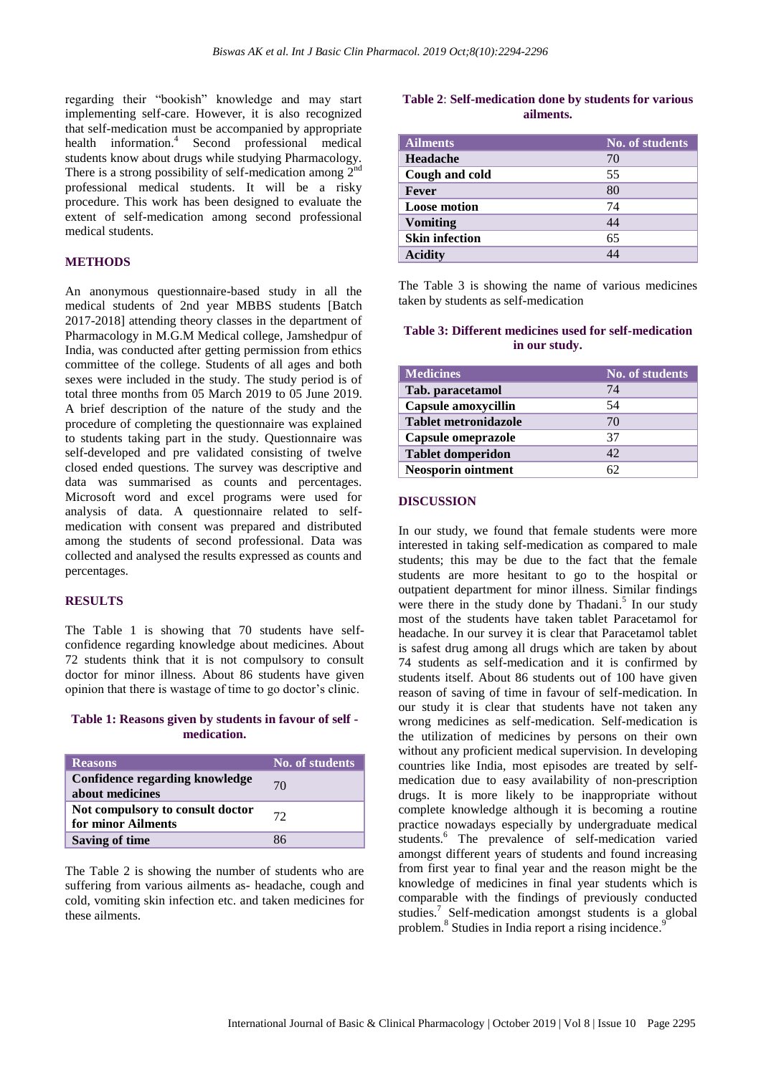regarding their "bookish" knowledge and may start implementing self-care. However, it is also recognized that self-medication must be accompanied by appropriate health information. 4 Second professional medical students know about drugs while studying Pharmacology. There is a strong possibility of self-medication among  $2^{nd}$ professional medical students. It will be a risky procedure. This work has been designed to evaluate the extent of self-medication among second professional medical students.

# **METHODS**

An anonymous questionnaire-based study in all the medical students of 2nd year MBBS students [Batch 2017-2018] attending theory classes in the department of Pharmacology in M.G.M Medical college, Jamshedpur of India, was conducted after getting permission from ethics committee of the college. Students of all ages and both sexes were included in the study. The study period is of total three months from 05 March 2019 to 05 June 2019. A brief description of the nature of the study and the procedure of completing the questionnaire was explained to students taking part in the study. Questionnaire was self-developed and pre validated consisting of twelve closed ended questions. The survey was descriptive and data was summarised as counts and percentages. Microsoft word and excel programs were used for analysis of data. A questionnaire related to selfmedication with consent was prepared and distributed among the students of second professional. Data was collected and analysed the results expressed as counts and percentages.

#### **RESULTS**

The Table 1 is showing that 70 students have selfconfidence regarding knowledge about medicines. About 72 students think that it is not compulsory to consult doctor for minor illness. About 86 students have given opinion that there is wastage of time to go doctor's clinic.

#### **Table 1: Reasons given by students in favour of self medication.**

| <b>Reasons</b>                                         | <b>No. of students</b> |
|--------------------------------------------------------|------------------------|
| Confidence regarding knowledge<br>about medicines      | 70                     |
| Not compulsory to consult doctor<br>for minor Ailments | 72                     |
| <b>Saving of time</b>                                  |                        |

The Table 2 is showing the number of students who are suffering from various ailments as- headache, cough and cold, vomiting skin infection etc. and taken medicines for these ailments.

### **Table 2**: **Self-medication done by students for various ailments.**

| <b>Ailments</b>       | <b>No. of students</b> |
|-----------------------|------------------------|
| Headache              | 70                     |
| Cough and cold        | 55                     |
| Fever                 | 80                     |
| <b>Loose motion</b>   | 74                     |
| <b>Vomiting</b>       | 44                     |
| <b>Skin infection</b> | 65                     |
| <b>Acidity</b>        |                        |

The Table 3 is showing the name of various medicines taken by students as self-medication

**Table 3: Different medicines used for self-medication in our study.**

| <b>Medicines</b>            | <b>No. of students</b> |
|-----------------------------|------------------------|
| Tab. paracetamol            | 74                     |
| Capsule amoxycillin         | 54                     |
| <b>Tablet metronidazole</b> | 70                     |
| Capsule omeprazole          | 37                     |
| <b>Tablet domperidon</b>    | 42                     |
| <b>Neosporin ointment</b>   | 62                     |

#### **DISCUSSION**

In our study, we found that female students were more interested in taking self-medication as compared to male students; this may be due to the fact that the female students are more hesitant to go to the hospital or outpatient department for minor illness. Similar findings were there in the study done by Thadani.<sup>5</sup> In our study most of the students have taken tablet Paracetamol for headache. In our survey it is clear that Paracetamol tablet is safest drug among all drugs which are taken by about 74 students as self-medication and it is confirmed by students itself. About 86 students out of 100 have given reason of saving of time in favour of self-medication. In our study it is clear that students have not taken any wrong medicines as self-medication. Self-medication is the utilization of medicines by persons on their own without any proficient medical supervision. In developing countries like India, most episodes are treated by selfmedication due to easy availability of non-prescription drugs. It is more likely to be inappropriate without complete knowledge although it is becoming a routine practice nowadays especially by undergraduate medical students. 6 The prevalence of self-medication varied amongst different years of students and found increasing from first year to final year and the reason might be the knowledge of medicines in final year students which is comparable with the findings of previously conducted studies. 7 Self-medication amongst students is a global problem.<sup>8</sup> Studies in India report a rising incidence.<sup>9</sup>